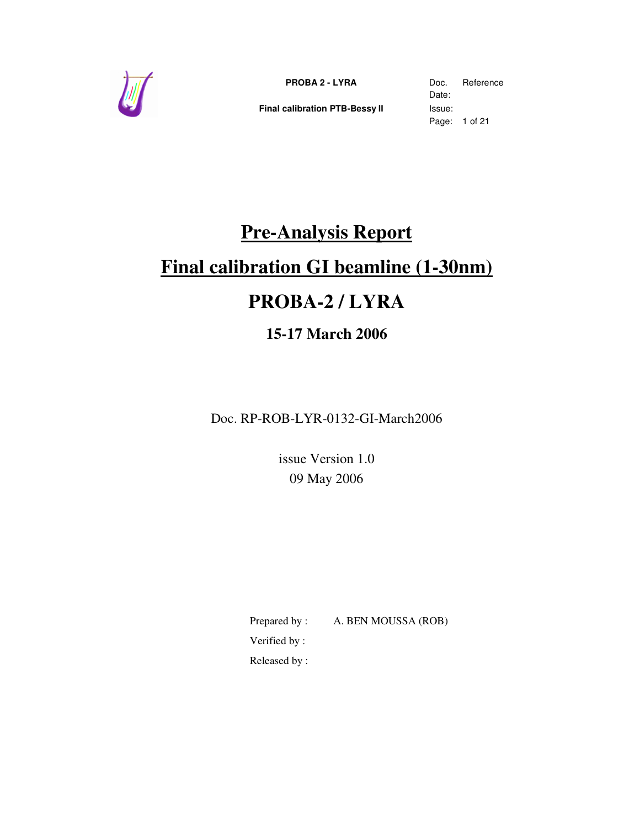

**Final calibration PTB-Bessy II** Issue:

Date: Page: 1 of 21

# **Pre-Analysis Report**

# **Final calibration GI beamline (1-30nm)**

# **PROBA-2 / LYRA**

# **15-17 March 2006**

Doc. RP-ROB-LYR-0132-GI-March2006

issue Version 1.0 09 May 2006

Prepared by : A. BEN MOUSSA (ROB) Verified by :

Released by :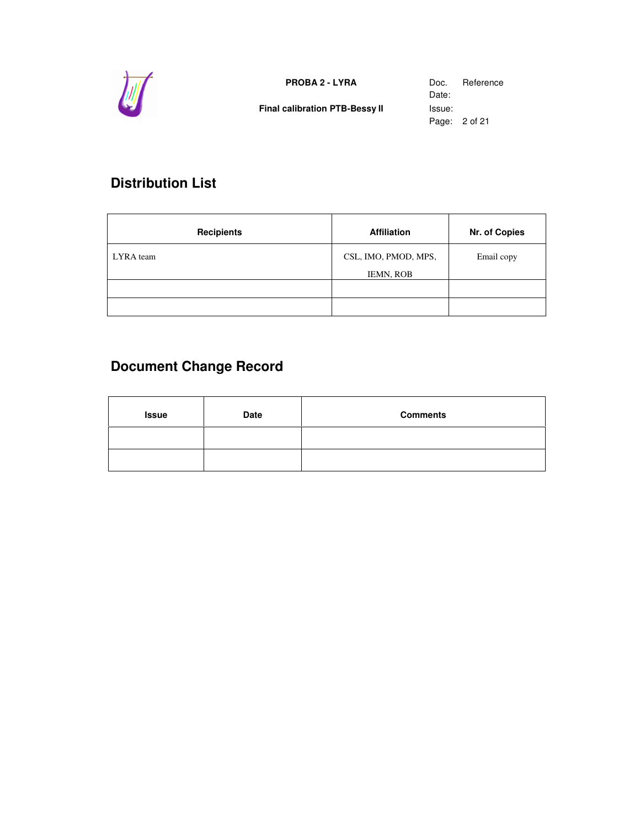

**Final calibration PTB-Bessy II** Issue:

Date: Page: 2 of 21

# **Distribution List**

| <b>Recipients</b> | <b>Affiliation</b>                       | Nr. of Copies |
|-------------------|------------------------------------------|---------------|
| LYRA team         | CSL, IMO, PMOD, MPS,<br><b>IEMN, ROB</b> | Email copy    |
|                   |                                          |               |
|                   |                                          |               |

# **Document Change Record**

| <b>Issue</b> | <b>Date</b> | <b>Comments</b> |
|--------------|-------------|-----------------|
|              |             |                 |
|              |             |                 |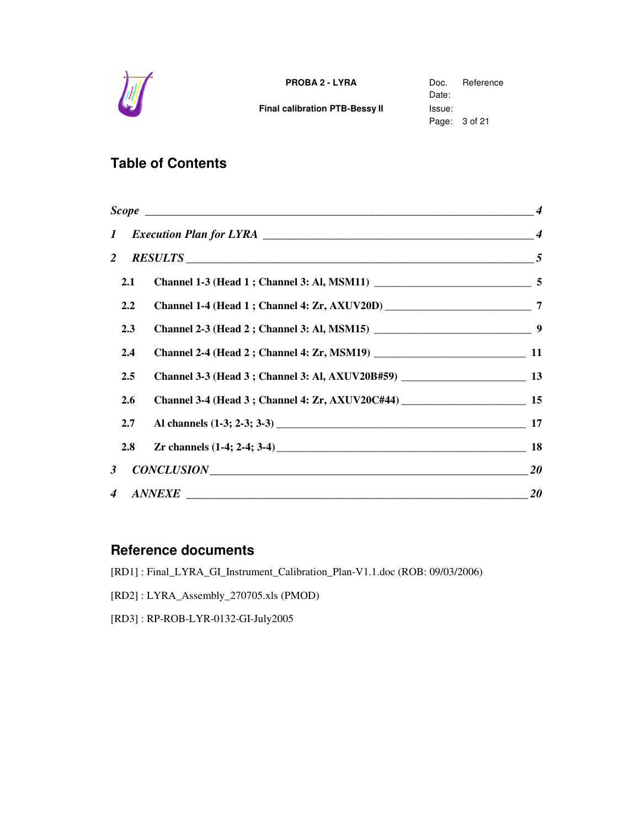

**Final calibration PTB-Bessy II** Issue:

Date: Page: 3 of 21

# **Table of Contents**

| $\boldsymbol{I}$ |                                  |  |
|------------------|----------------------------------|--|
| $\overline{2}$   |                                  |  |
| 2.1              |                                  |  |
| $2.2\phantom{0}$ |                                  |  |
| 2.3              |                                  |  |
| 2.4              |                                  |  |
| $2.5\,$          |                                  |  |
| 2.6              |                                  |  |
| 2.7              |                                  |  |
| 2.8              | Zr channels $(1-4; 2-4; 3-4)$ 18 |  |
| 3 <sup>1</sup>   | $CONCLUSION$ 20                  |  |
| $\overline{4}$   | $\textit{ANNEXE}$ 20             |  |

### **Reference documents**

[RD1] : Final\_LYRA\_GI\_Instrument\_Calibration\_Plan-V1.1.doc (ROB: 09/03/2006)

[RD2] : LYRA\_Assembly\_270705.xls (PMOD)

[RD3] : RP-ROB-LYR-0132-GI-July2005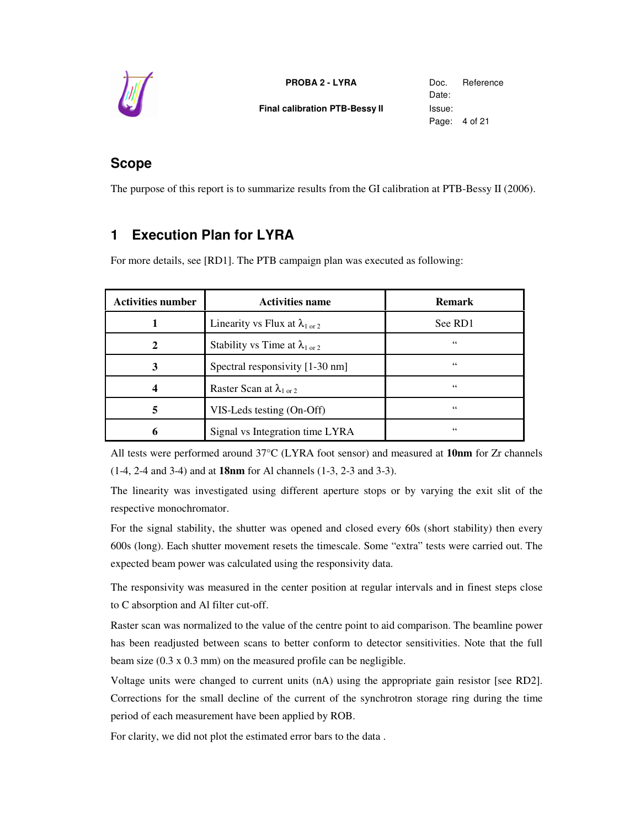

**PROBA 2 - LYRA** Doc. Reference **Final calibration PTB-Bessy II** Issue:

Date: Page: 4 of 21

# **Scope**

The purpose of this report is to summarize results from the GI calibration at PTB-Bessy II (2006).

# **1 Execution Plan for LYRA**

For more details, see [RD1]. The PTB campaign plan was executed as following:

| <b>Activities number</b> | <b>Activities name</b>                           | <b>Remark</b> |
|--------------------------|--------------------------------------------------|---------------|
|                          | Linearity vs Flux at $\lambda_{1 \text{ or } 2}$ | See RD1       |
|                          | Stability vs Time at $\lambda_{1 \text{ or } 2}$ | 66            |
| 3                        | Spectral responsivity [1-30 nm]                  | 66            |
|                          | Raster Scan at $\lambda_{1 \text{ or } 2}$       | 66            |
| 5                        | VIS-Leds testing (On-Off)                        | 66            |
|                          | Signal vs Integration time LYRA                  | 66            |

All tests were performed around 37°C (LYRA foot sensor) and measured at **10nm** for Zr channels (1-4, 2-4 and 3-4) and at **18nm** for Al channels (1-3, 2-3 and 3-3).

The linearity was investigated using different aperture stops or by varying the exit slit of the respective monochromator.

For the signal stability, the shutter was opened and closed every 60s (short stability) then every 600s (long). Each shutter movement resets the timescale. Some "extra" tests were carried out. The expected beam power was calculated using the responsivity data.

The responsivity was measured in the center position at regular intervals and in finest steps close to C absorption and Al filter cut-off.

Raster scan was normalized to the value of the centre point to aid comparison. The beamline power has been readjusted between scans to better conform to detector sensitivities. Note that the full beam size (0.3 x 0.3 mm) on the measured profile can be negligible.

Voltage units were changed to current units (nA) using the appropriate gain resistor [see RD2]. Corrections for the small decline of the current of the synchrotron storage ring during the time period of each measurement have been applied by ROB.

For clarity, we did not plot the estimated error bars to the data .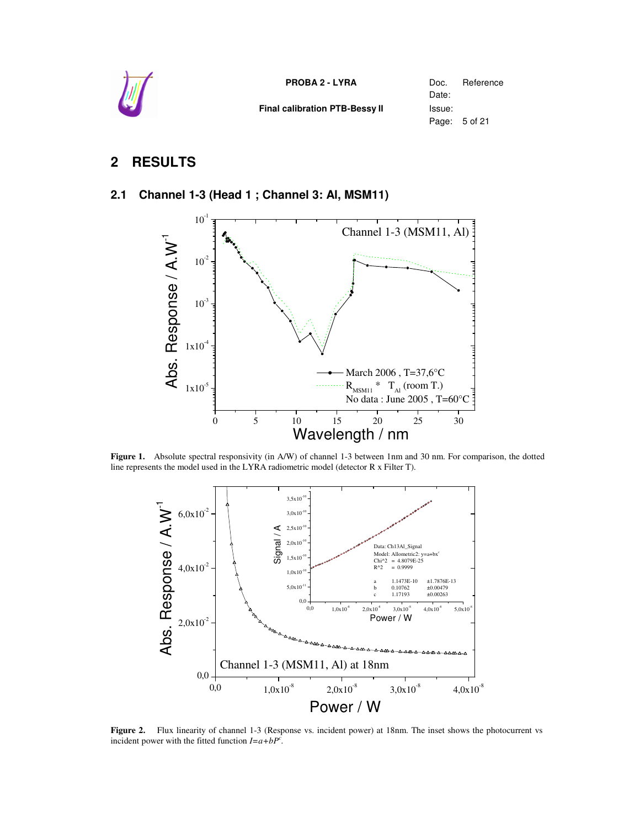

**Final calibration PTB-Bessy II** Issue:

Date: Page: 5 of 21

## **2 RESULTS**

#### **2.1 Channel 1-3 (Head 1 ; Channel 3: Al, MSM11)**



**Figure 1.** Absolute spectral responsivity (in A/W) of channel 1-3 between 1nm and 30 nm. For comparison, the dotted line represents the model used in the LYRA radiometric model (detector R x Filter T).



**Figure 2.** Flux linearity of channel 1-3 (Response vs. incident power) at 18nm. The inset shows the photocurrent vs incident power with the fitted function  $I = a + bP^c$ .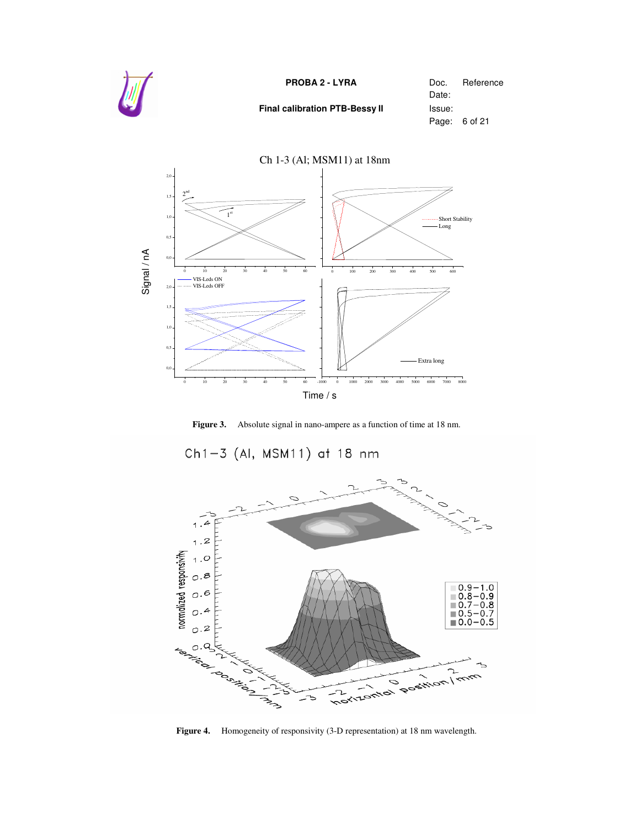







**Figure 4.** Homogeneity of responsivity (3-D representation) at 18 nm wavelength.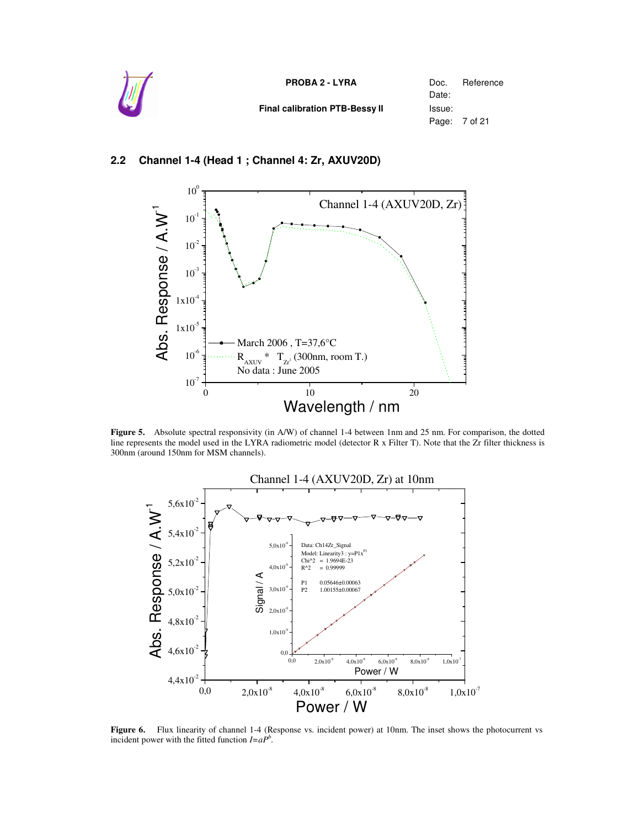

#### **2.2 Channel 1-4 (Head 1 ; Channel 4: Zr, AXUV20D)**



**Figure 5.** Absolute spectral responsivity (in A/W) of channel 1-4 between 1nm and 25 nm. For comparison, the dotted line represents the model used in the LYRA radiometric model (detector R x Filter T). Note that the Zr filter thickness is 300nm (around 150nm for MSM channels).



**Figure 6.** Flux linearity of channel 1-4 (Response vs. incident power) at 10nm. The inset shows the photocurrent vs incident power with the fitted function  $I = aP^b$ .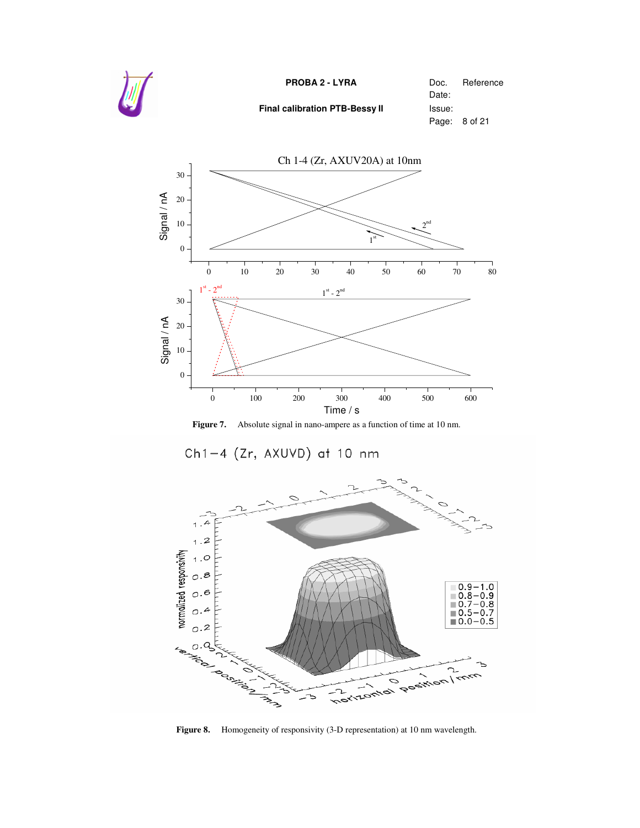



**Figure 7.** Absolute signal in nano-ampere as a function of time at 10 nm.





**Figure 8.** Homogeneity of responsivity (3-D representation) at 10 nm wavelength.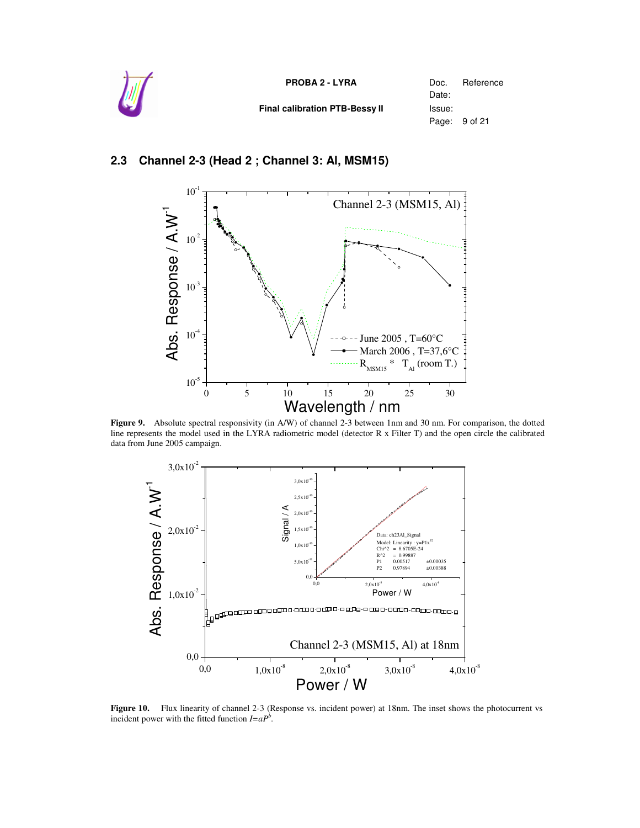| U | <b>PROBA 2 - LYRA</b>          | Doc.<br>Date:           | Reference |
|---|--------------------------------|-------------------------|-----------|
|   | Final calibration PTB-Bessy II | Issue:<br>Page: 9 of 21 |           |

#### **2.3 Channel 2-3 (Head 2 ; Channel 3: Al, MSM15)**



**Figure 9.** Absolute spectral responsivity (in A/W) of channel 2-3 between 1nm and 30 nm. For comparison, the dotted line represents the model used in the LYRA radiometric model (detector R x Filter T) and the open circle the calibrated data from June 2005 campaign.



**Figure 10.** Flux linearity of channel 2-3 (Response vs. incident power) at 18nm. The inset shows the photocurrent vs incident power with the fitted function  $I = aP^b$ .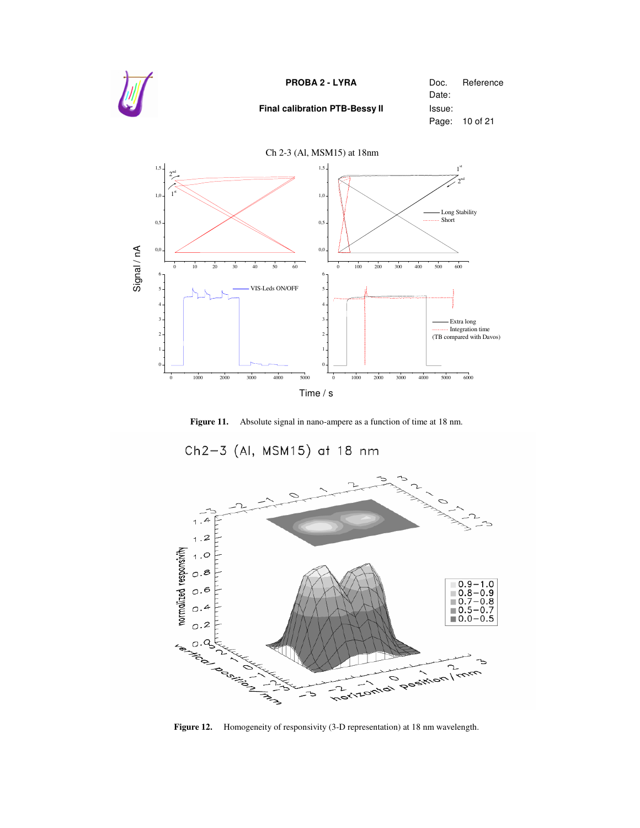





**Figure 12.** Homogeneity of responsivity (3-D representation) at 18 nm wavelength.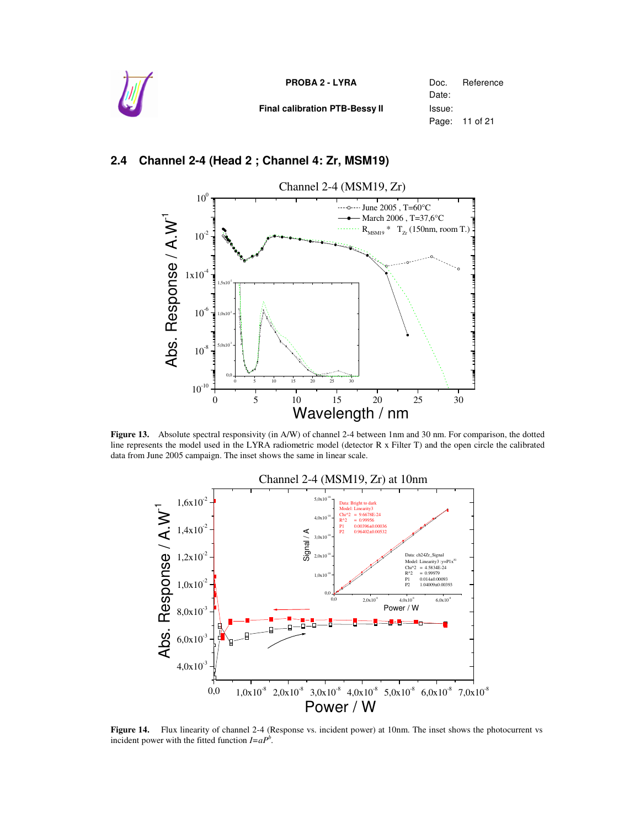

**Final calibration PTB-Bessy II** Issue:

Date: Page: 11 of 21

#### **2.4 Channel 2-4 (Head 2 ; Channel 4: Zr, MSM19)**



**Figure 13.** Absolute spectral responsivity (in A/W) of channel 2-4 between 1nm and 30 nm. For comparison, the dotted line represents the model used in the LYRA radiometric model (detector R x Filter T) and the open circle the calibrated data from June 2005 campaign. The inset shows the same in linear scale.



**Figure 14.** Flux linearity of channel 2-4 (Response vs. incident power) at 10nm. The inset shows the photocurrent vs incident power with the fitted function  $I = aP^b$ .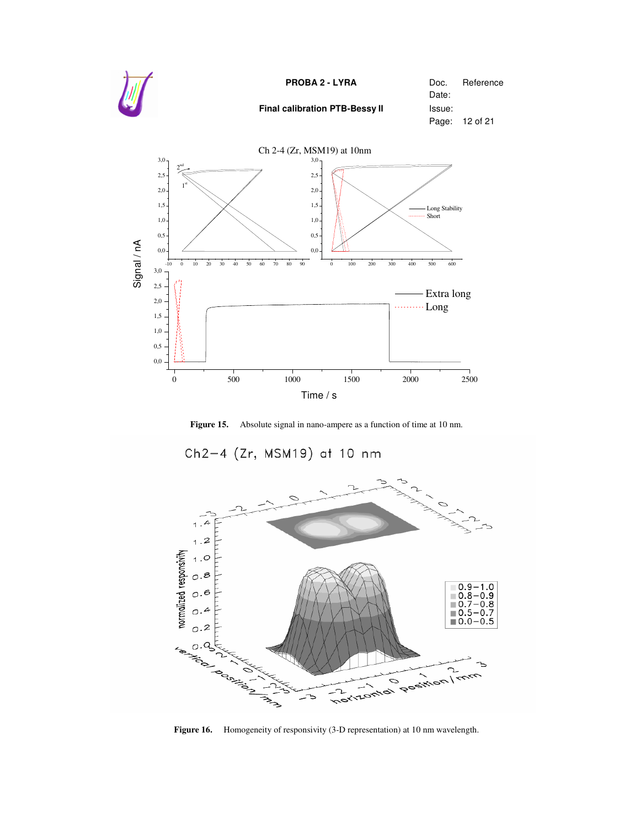

**Figure 15.** Absolute signal in nano-ampere as a function of time at 10 nm.



**Figure 16.** Homogeneity of responsivity (3-D representation) at 10 nm wavelength.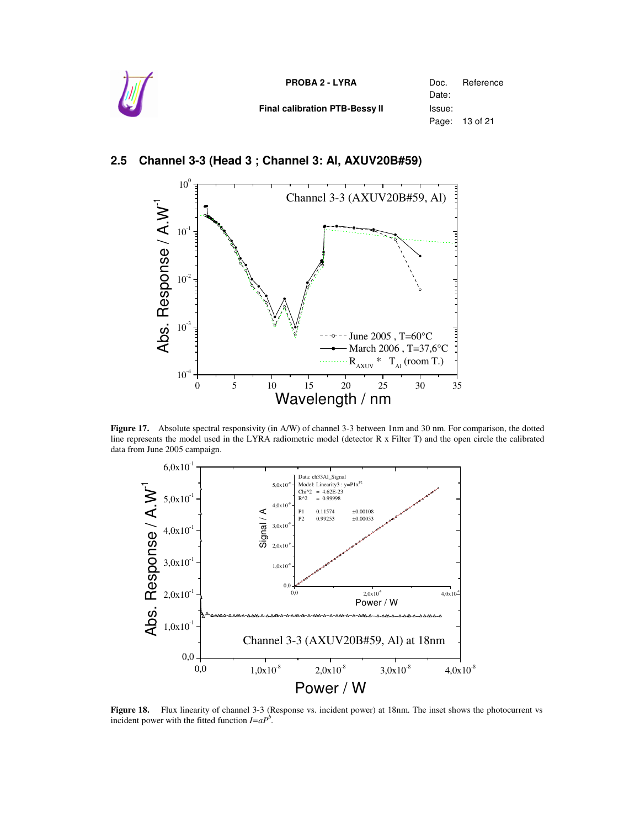

**Final calibration PTB-Bessy II** Issue:

Date: Page: 13 of 21

#### $10<sup>0</sup>$ Channel 3-3 (AXUV20B#59, Al)  $e / A.W^1$  $10^{-1}$ s  $\subseteq$  $10^{-2}$ o  $\overline{\mathbf{o}}$ s  $\mathbf \Phi$ m<br>ن  $10^{-3}$  $-$ - June 2005, T=60 $^{\circ}$ C  $\sim$ ݠ March 2006 , T=37,6°C A $R_{AXUV}$  \*  $T_{Al}$  (room T.)  $10^{-4}$ 0 5 10 15 20 25 30 35 Wavelength / nm

#### **2.5 Channel 3-3 (Head 3 ; Channel 3: Al, AXUV20B#59)**

**Figure 17.** Absolute spectral responsivity (in A/W) of channel 3-3 between 1nm and 30 nm. For comparison, the dotted line represents the model used in the LYRA radiometric model (detector R x Filter T) and the open circle the calibrated data from June 2005 campaign.



**Figure 18.** Flux linearity of channel 3-3 (Response vs. incident power) at 18nm. The inset shows the photocurrent vs incident power with the fitted function  $I = aP^b$ .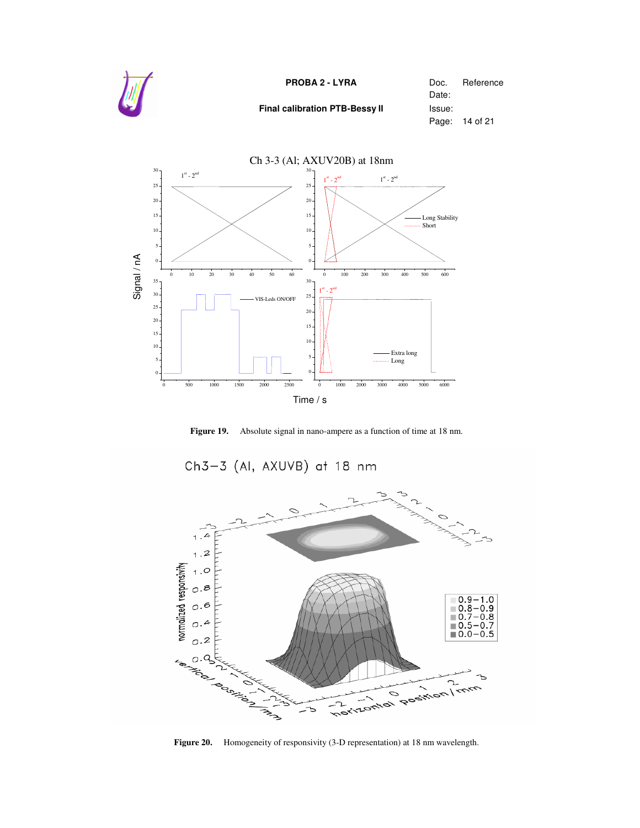









**Figure 20.** Homogeneity of responsivity (3-D representation) at 18 nm wavelength.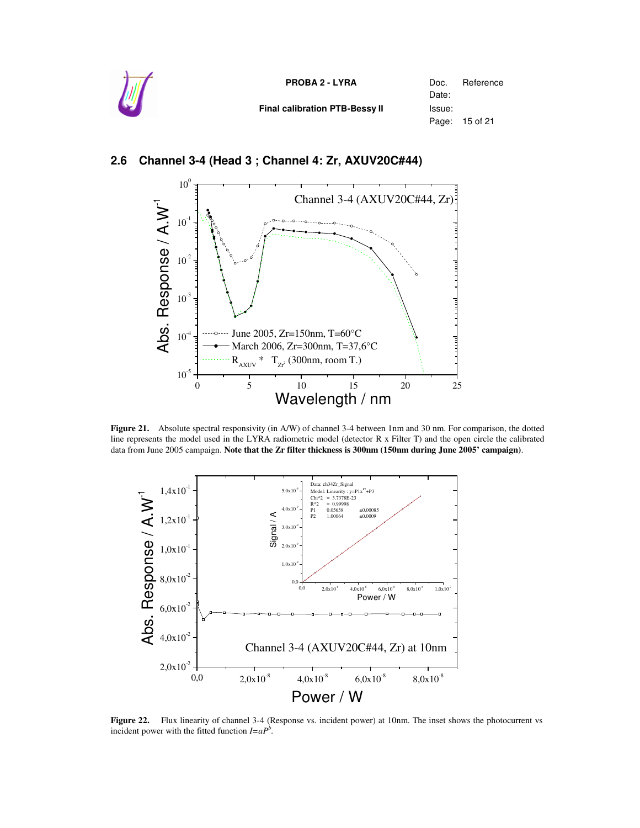



#### **2.6 Channel 3-4 (Head 3 ; Channel 4: Zr, AXUV20C#44)**

**Figure 21.** Absolute spectral responsivity (in A/W) of channel 3-4 between 1nm and 30 nm. For comparison, the dotted line represents the model used in the LYRA radiometric model (detector R x Filter T) and the open circle the calibrated data from June 2005 campaign. **Note that the Zr filter thickness is 300nm (150nm during June 2005' campaign)**.



**Figure 22.** Flux linearity of channel 3-4 (Response vs. incident power) at 10nm. The inset shows the photocurrent vs incident power with the fitted function  $I = aP^b$ .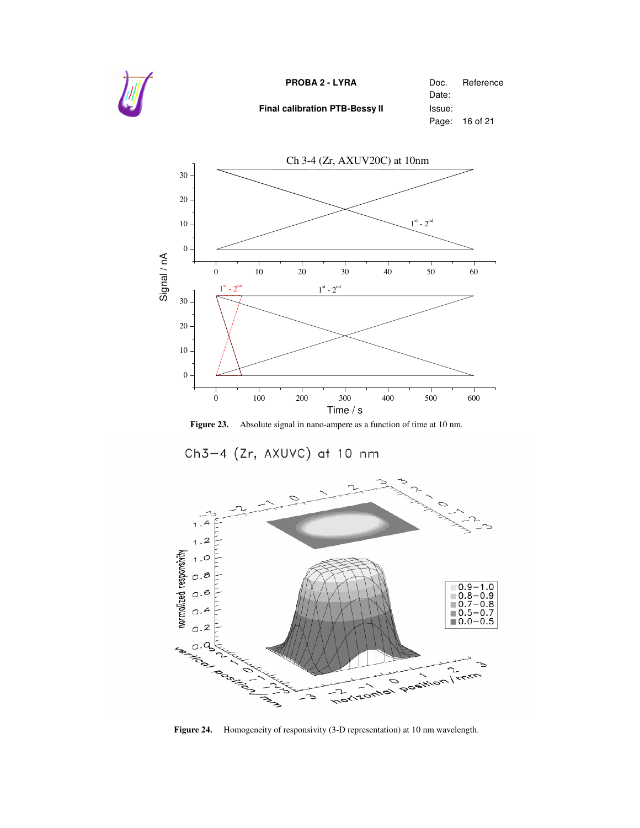



**Figure 23.** Absolute signal in nano-ampere as a function of time at 10 nm.





**Figure 24.** Homogeneity of responsivity (3-D representation) at 10 nm wavelength.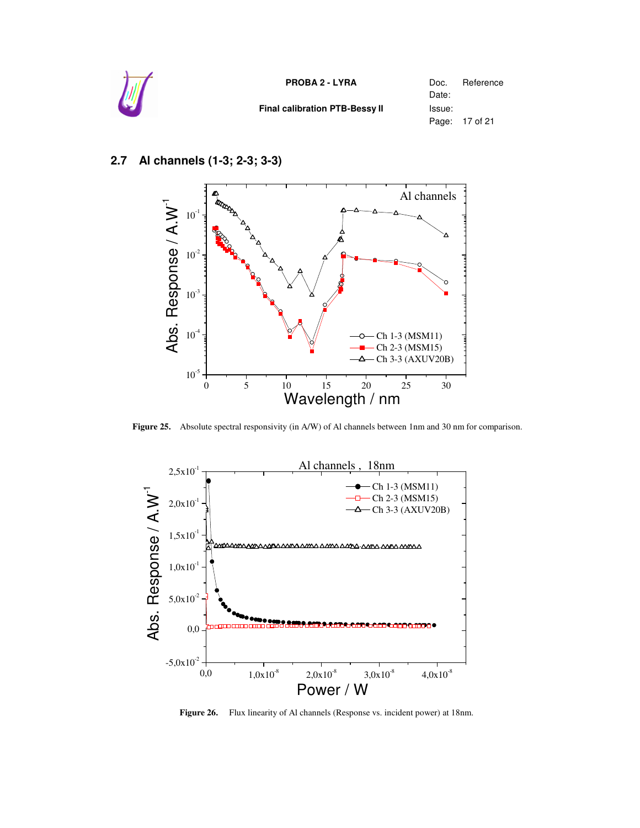

### **2.7 Al channels (1-3; 2-3; 3-3)**



**Figure 25.** Absolute spectral responsivity (in A/W) of Al channels between 1nm and 30 nm for comparison.



**Figure 26.** Flux linearity of Al channels (Response vs. incident power) at 18nm.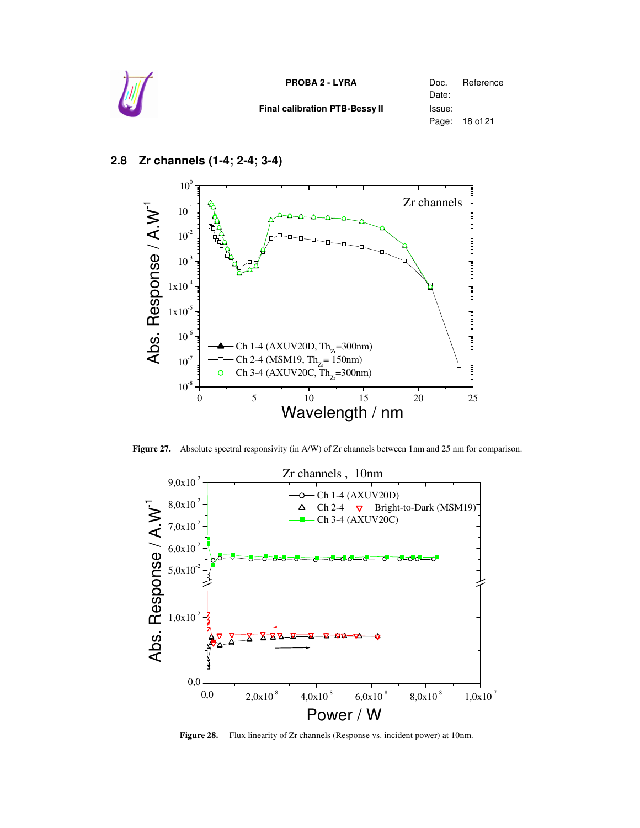

#### 0 5 10 15 20 25  $10^{-8}$  $10^{-7}$  $10^{-6}$  $1x10^{-5}$  $1x10^{4}$  $10^{-3}$  $10^{-2}$  $10^{-1}$  $10<sup>0</sup>$ Ch 1-4 (AXUV20D, Th<sub>zr</sub>=300nm) Ch 2-4 (MSM19, Th<sub>z</sub>= 150nm) Ch 3-4 (AXUV20C, Th<sub>zr</sub>=300nm) Zr channels Ab s. R  $\mathbf \Phi$ s  $\overline{\mathbf{Q}}$ o  $\mathbf{r}$ s e  $\overline{\phantom{0}}$  $\lambda$ . $\lambda^{-1}$ Wavelength / nm

#### **2.8 Zr channels (1-4; 2-4; 3-4)**

**Figure 27.** Absolute spectral responsivity (in A/W) of Zr channels between 1nm and 25 nm for comparison.



**Figure 28.** Flux linearity of Zr channels (Response vs. incident power) at 10nm.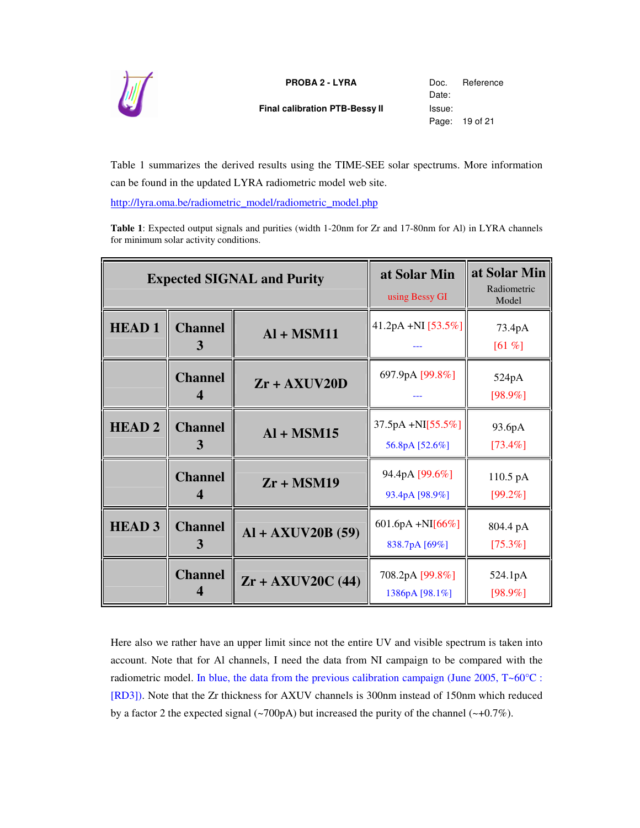

**Final calibration PTB-Bessy II** Issue:

Date: Page: 19 of 21

Table 1 summarizes the derived results using the TIME-SEE solar spectrums. More information can be found in the updated LYRA radiometric model web site.

http://lyra.oma.be/radiometric\_model/radiometric\_model.php

**Table 1**: Expected output signals and purities (width 1-20nm for Zr and 17-80nm for Al) in LYRA channels for minimum solar activity conditions.

| <b>Expected SIGNAL and Purity</b> |                                    | at Solar Min<br>using Bessy GI | at Solar Min<br>Radiometric<br>Model  |                        |
|-----------------------------------|------------------------------------|--------------------------------|---------------------------------------|------------------------|
| <b>HEAD1</b>                      | <b>Channel</b><br>3                | $AI + MSM11$                   | 41.2pA +NI [53.5%]                    | 73.4pA<br>$[61 \%]$    |
|                                   | <b>Channel</b><br>4                | $Zr + AXUV20D$                 | 697.9pA [99.8%]                       | 524pA<br>$[98.9\%]$    |
| <b>HEAD2</b>                      | <b>Channel</b><br>3                | $AI + MSM15$                   | 37.5pA +NI[55.5%]<br>56.8pA [52.6%]   | 93.6pA<br>$[73.4\%]$   |
|                                   | <b>Channel</b><br>$\boldsymbol{4}$ | $Zr + MSM19$                   | 94.4pA [99.6%]<br>93.4pA [98.9%]      | 110.5 pA<br>$[99.2\%]$ |
| <b>HEAD3</b>                      | <b>Channel</b><br>3                | $AI + AXUV20B(59)$             | 601.6pA +NI $[66\%]$<br>838.7pA [69%] | 804.4 pA<br>$[75.3\%]$ |
|                                   | <b>Channel</b>                     | $Zr + AXUV20C$ (44)            | 708.2pA [99.8%]<br>1386pA [98.1%]     | 524.1pA<br>$[98.9\%]$  |

Here also we rather have an upper limit since not the entire UV and visible spectrum is taken into account. Note that for Al channels, I need the data from NI campaign to be compared with the radiometric model. In blue, the data from the previous calibration campaign (June 2005,  $T \sim 60^{\circ}$ C : [RD3]). Note that the Zr thickness for AXUV channels is 300nm instead of 150nm which reduced by a factor 2 the expected signal ( $\sim$ 700pA) but increased the purity of the channel ( $\sim$ +0.7%).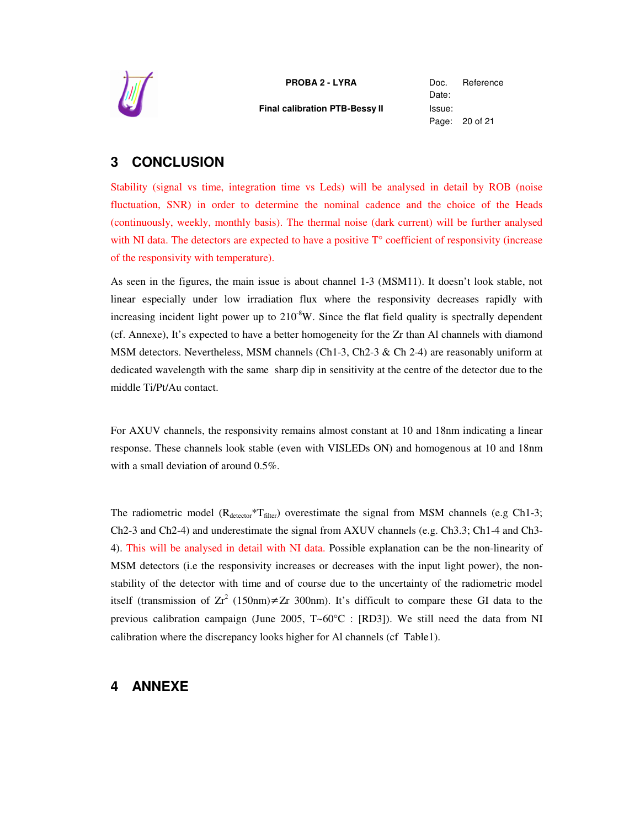

**Final calibration PTB-Bessy II** Issue:

Date: Page: 20 of 21

## **3 CONCLUSION**

Stability (signal vs time, integration time vs Leds) will be analysed in detail by ROB (noise fluctuation, SNR) in order to determine the nominal cadence and the choice of the Heads (continuously, weekly, monthly basis). The thermal noise (dark current) will be further analysed with NI data. The detectors are expected to have a positive  $T<sup>o</sup>$  coefficient of responsivity (increase of the responsivity with temperature).

As seen in the figures, the main issue is about channel 1-3 (MSM11). It doesn't look stable, not linear especially under low irradiation flux where the responsivity decreases rapidly with increasing incident light power up to  $210<sup>-8</sup>W$ . Since the flat field quality is spectrally dependent (cf. Annexe), It's expected to have a better homogeneity for the Zr than Al channels with diamond MSM detectors. Nevertheless, MSM channels (Ch1-3, Ch2-3  $\&$  Ch 2-4) are reasonably uniform at dedicated wavelength with the same sharp dip in sensitivity at the centre of the detector due to the middle Ti/Pt/Au contact.

For AXUV channels, the responsivity remains almost constant at 10 and 18nm indicating a linear response. These channels look stable (even with VISLEDs ON) and homogenous at 10 and 18nm with a small deviation of around 0.5%.

The radiometric model  $(R_{\text{detector}} * T_{\text{filter}})$  overestimate the signal from MSM channels (e.g Ch1-3; Ch2-3 and Ch2-4) and underestimate the signal from AXUV channels (e.g. Ch3.3; Ch1-4 and Ch3- 4). This will be analysed in detail with NI data. Possible explanation can be the non-linearity of MSM detectors (i.e the responsivity increases or decreases with the input light power), the nonstability of the detector with time and of course due to the uncertainty of the radiometric model itself (transmission of  $Zr^2$  (150nm) $\neq$ Zr 300nm). It's difficult to compare these GI data to the previous calibration campaign (June 2005, T~60°C : [RD3]). We still need the data from NI calibration where the discrepancy looks higher for Al channels (cf Table1).

### **4 ANNEXE**